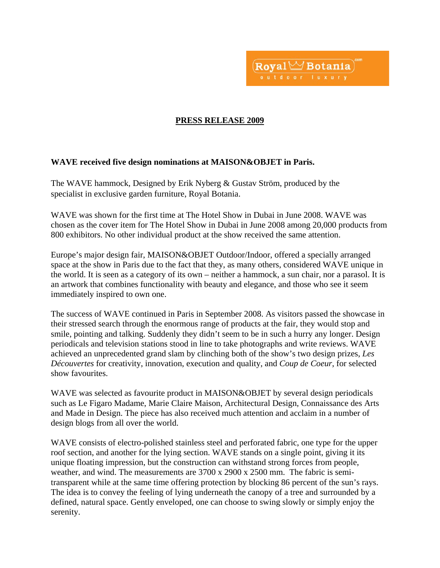

## **PRESS RELEASE 2009**

## **WAVE received five design nominations at MAISON&OBJET in Paris.**

The WAVE hammock, Designed by Erik Nyberg & Gustav Ström, produced by the specialist in exclusive garden furniture, Royal Botania.

WAVE was shown for the first time at The Hotel Show in Dubai in June 2008. WAVE was chosen as the cover item for The Hotel Show in Dubai in June 2008 among 20,000 products from 800 exhibitors. No other individual product at the show received the same attention.

Europe's major design fair, MAISON&OBJET Outdoor/Indoor, offered a specially arranged space at the show in Paris due to the fact that they, as many others, considered WAVE unique in the world. It is seen as a category of its own – neither a hammock, a sun chair, nor a parasol. It is an artwork that combines functionality with beauty and elegance, and those who see it seem immediately inspired to own one.

The success of WAVE continued in Paris in September 2008. As visitors passed the showcase in their stressed search through the enormous range of products at the fair, they would stop and smile, pointing and talking. Suddenly they didn't seem to be in such a hurry any longer. Design periodicals and television stations stood in line to take photographs and write reviews. WAVE achieved an unprecedented grand slam by clinching both of the show's two design prizes, *Les Découvertes* for creativity, innovation, execution and quality, and *Coup de Coeur*, for selected show favourites.

WAVE was selected as favourite product in MAISON&OBJET by several design periodicals such as Le Figaro Madame, Marie Claire Maison, Architectural Design, Connaissance des Arts and Made in Design. The piece has also received much attention and acclaim in a number of design blogs from all over the world.

WAVE consists of electro-polished stainless steel and perforated fabric, one type for the upper roof section, and another for the lying section. WAVE stands on a single point, giving it its unique floating impression, but the construction can withstand strong forces from people, weather, and wind. The measurements are 3700 x 2900 x 2500 mm. The fabric is semitransparent while at the same time offering protection by blocking 86 percent of the sun's rays. The idea is to convey the feeling of lying underneath the canopy of a tree and surrounded by a defined, natural space. Gently enveloped, one can choose to swing slowly or simply enjoy the serenity.